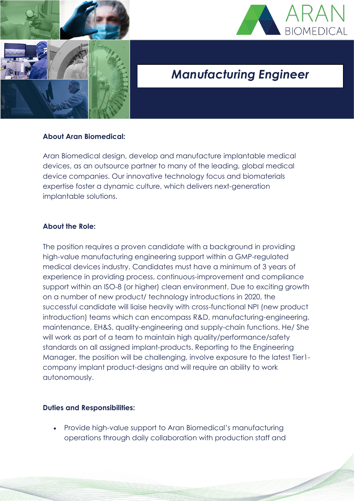



# *Manufacturing Engineer*

### **About Aran Biomedical:**

Aran Biomedical design, develop and manufacture implantable medical devices, as an outsource partner to many of the leading, global medical device companies. Our innovative technology focus and biomaterials expertise foster a dynamic culture, which delivers next-generation implantable solutions.

#### **About the Role:**

The position requires a proven candidate with a background in providing high-value manufacturing engineering support within a GMP-regulated medical devices industry. Candidates must have a minimum of 3 years of experience in providing process, continuous-improvement and compliance support within an ISO-8 (or higher) clean environment. Due to exciting growth on a number of new product/ technology introductions in 2020, the successful candidate will liaise heavily with cross-functional NPI (new product introduction) teams which can encompass R&D, manufacturing-engineering, maintenance, EH&S, quality-engineering and supply-chain functions. He/ She will work as part of a team to maintain high quality/performance/safety standards on all assigned implant-products. Reporting to the Engineering Manager, the position will be challenging, involve exposure to the latest Tier1 company implant product-designs and will require an ability to work autonomously.

#### **Duties and Responsibilities:**

• Provide high-value support to Aran Biomedical's manufacturing operations through daily collaboration with production staff and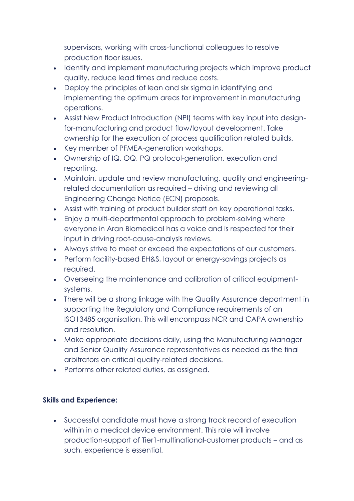supervisors, working with cross-functional colleagues to resolve production floor issues.

- Identify and implement manufacturing projects which improve product quality, reduce lead times and reduce costs.
- Deploy the principles of lean and six sigma in identifying and implementing the optimum areas for improvement in manufacturing operations.
- Assist New Product Introduction (NPI) teams with key input into designfor-manufacturing and product flow/layout development. Take ownership for the execution of process qualification related builds.
- Key member of PFMEA-generation workshops.
- Ownership of IQ, OQ, PQ protocol-generation, execution and reporting.
- Maintain, update and review manufacturing, quality and engineeringrelated documentation as required – driving and reviewing all Engineering Change Notice (ECN) proposals.
- Assist with training of product builder staff on key operational tasks.
- Enjoy a multi-departmental approach to problem-solving where everyone in Aran Biomedical has a voice and is respected for their input in driving root-cause-analysis reviews.
- Always strive to meet or exceed the expectations of our customers.
- Perform facility-based EH&S, layout or energy-savings projects as required.
- Overseeing the maintenance and calibration of critical equipmentsystems.
- There will be a strong linkage with the Quality Assurance department in supporting the Regulatory and Compliance requirements of an ISO13485 organisation. This will encompass NCR and CAPA ownership and resolution.
- Make appropriate decisions daily, using the Manufacturing Manager and Senior Quality Assurance representatives as needed as the final arbitrators on critical quality-related decisions.
- Performs other related duties, as assigned.

## **Skills and Experience:**

• Successful candidate must have a strong track record of execution within in a medical device environment. This role will involve production-support of Tier1-multinational-customer products – and as such, experience is essential.